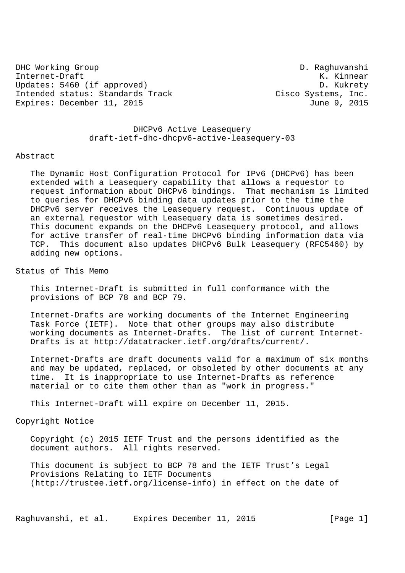DHC Working Group D. Raghuvanshi Internet-Draft K. Kinnear Updates: 5460 (if approved) D. Kukrety Intended status: Standards Track Cisco Systems, Inc.<br>Expires: December 11, 2015 Expires: December 11, 2015

 DHCPv6 Active Leasequery draft-ietf-dhc-dhcpv6-active-leasequery-03

#### Abstract

 The Dynamic Host Configuration Protocol for IPv6 (DHCPv6) has been extended with a Leasequery capability that allows a requestor to request information about DHCPv6 bindings. That mechanism is limited to queries for DHCPv6 binding data updates prior to the time the DHCPv6 server receives the Leasequery request. Continuous update of an external requestor with Leasequery data is sometimes desired. This document expands on the DHCPv6 Leasequery protocol, and allows for active transfer of real-time DHCPv6 binding information data via TCP. This document also updates DHCPv6 Bulk Leasequery (RFC5460) by adding new options.

Status of This Memo

 This Internet-Draft is submitted in full conformance with the provisions of BCP 78 and BCP 79.

 Internet-Drafts are working documents of the Internet Engineering Task Force (IETF). Note that other groups may also distribute working documents as Internet-Drafts. The list of current Internet- Drafts is at http://datatracker.ietf.org/drafts/current/.

 Internet-Drafts are draft documents valid for a maximum of six months and may be updated, replaced, or obsoleted by other documents at any time. It is inappropriate to use Internet-Drafts as reference material or to cite them other than as "work in progress."

This Internet-Draft will expire on December 11, 2015.

Copyright Notice

 Copyright (c) 2015 IETF Trust and the persons identified as the document authors. All rights reserved.

 This document is subject to BCP 78 and the IETF Trust's Legal Provisions Relating to IETF Documents (http://trustee.ietf.org/license-info) in effect on the date of

Raghuvanshi, et al. Expires December 11, 2015 [Page 1]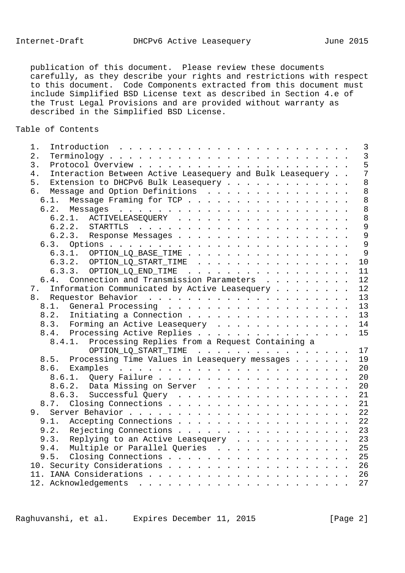publication of this document. Please review these documents carefully, as they describe your rights and restrictions with respect to this document. Code Components extracted from this document must include Simplified BSD License text as described in Section 4.e of the Trust Legal Provisions and are provided without warranty as described in the Simplified BSD License.

# Table of Contents

| $1$ .                                                           | $\overline{\mathbf{3}}$ |
|-----------------------------------------------------------------|-------------------------|
| 2.                                                              | $\overline{3}$          |
| 3.                                                              | 5                       |
| Interaction Between Active Leasequery and Bulk Leasequery<br>4. | $\overline{7}$          |
| 5.<br>Extension to DHCPv6 Bulk Leasequery                       | 8                       |
| Message and Option Definitions<br>6.                            | 8 <sup>8</sup>          |
| 6.1. Message Framing for TCP                                    | 8 <sup>8</sup>          |
|                                                                 | $\overline{8}$          |
| 6.2.1. ACTIVELEASEQUERY                                         | 8 <sup>8</sup>          |
|                                                                 | $\overline{9}$          |
| 6.2.3. Response Messages                                        | $\overline{9}$          |
|                                                                 | 9                       |
| 6.3.1. OPTION_LQ_BASE_TIME                                      | 9                       |
| $6.3.2.$ OPTION_LQ_START_TIME                                   | 10                      |
| 6.3.3. OPTION_LQ_END_TIME                                       | 11                      |
| 6.4. Connection and Transmission Parameters                     | 12                      |
| Information Communicated by Active Leasequery<br>7.             | 12                      |
|                                                                 | 13                      |
|                                                                 | 13                      |
| 8.2. Initiating a Connection                                    | 13                      |
| 8.3. Forming an Active Leasequery 14                            |                         |
|                                                                 |                         |
| 8.4. Processing Active Replies 15                               |                         |
| Processing Replies from a Request Containing a<br>8.4.1.        |                         |
| OPTION_LQ_START_TIME 17                                         |                         |
| 8.5. Processing Time Values in Leasequery messages              | 19                      |
|                                                                 | 20                      |
|                                                                 | 20                      |
| 8.6.2. Data Missing on Server 20                                |                         |
| 8.6.3. Successful Query 21                                      |                         |
| 8.7. Closing Connections 21                                     |                         |
|                                                                 |                         |
| Accepting Connections 22<br>9.1.                                |                         |
| 9.2. Rejecting Connections 23                                   |                         |
| 9.3. Replying to an Active Leasequery 23                        |                         |
| 9.4. Multiple or Parallel Queries 25                            |                         |
| 9.5. Closing Connections 25                                     |                         |
| 10. Security Considerations 26                                  |                         |
|                                                                 |                         |
|                                                                 | 27                      |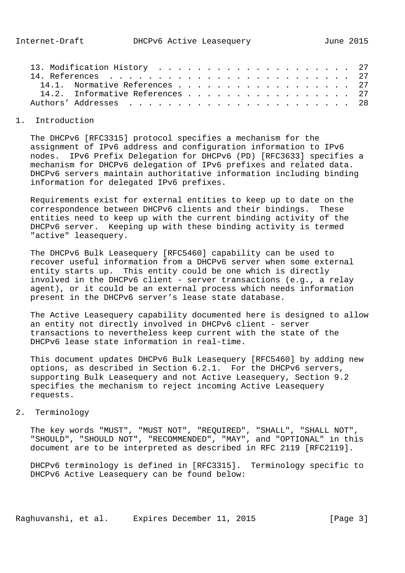| 14.1. Normative References 27   |  |
|---------------------------------|--|
| 14.2. Informative References 27 |  |
|                                 |  |

## 1. Introduction

 The DHCPv6 [RFC3315] protocol specifies a mechanism for the assignment of IPv6 address and configuration information to IPv6 nodes. IPv6 Prefix Delegation for DHCPv6 (PD) [RFC3633] specifies a mechanism for DHCPv6 delegation of IPv6 prefixes and related data. DHCPv6 servers maintain authoritative information including binding information for delegated IPv6 prefixes.

 Requirements exist for external entities to keep up to date on the correspondence between DHCPv6 clients and their bindings. These entities need to keep up with the current binding activity of the DHCPv6 server. Keeping up with these binding activity is termed "active" leasequery.

 The DHCPv6 Bulk Leasequery [RFC5460] capability can be used to recover useful information from a DHCPv6 server when some external entity starts up. This entity could be one which is directly involved in the DHCPv6 client - server transactions (e.g., a relay agent), or it could be an external process which needs information present in the DHCPv6 server's lease state database.

 The Active Leasequery capability documented here is designed to allow an entity not directly involved in DHCPv6 client - server transactions to nevertheless keep current with the state of the DHCPv6 lease state information in real-time.

 This document updates DHCPv6 Bulk Leasequery [RFC5460] by adding new options, as described in Section 6.2.1. For the DHCPv6 servers, supporting Bulk Leasequery and not Active Leasequery, Section 9.2 specifies the mechanism to reject incoming Active Leasequery requests.

# 2. Terminology

 The key words "MUST", "MUST NOT", "REQUIRED", "SHALL", "SHALL NOT", "SHOULD", "SHOULD NOT", "RECOMMENDED", "MAY", and "OPTIONAL" in this document are to be interpreted as described in RFC 2119 [RFC2119].

 DHCPv6 terminology is defined in [RFC3315]. Terminology specific to DHCPv6 Active Leasequery can be found below: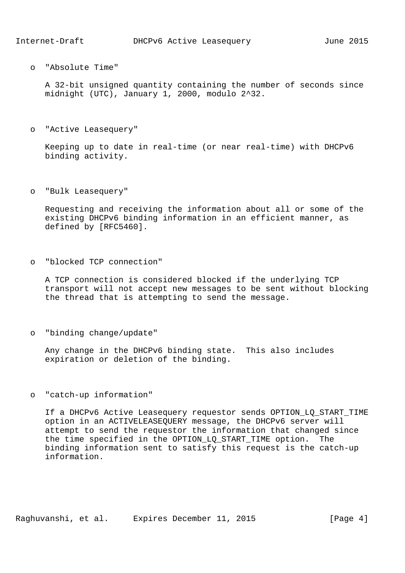o "Absolute Time"

 A 32-bit unsigned quantity containing the number of seconds since midnight (UTC), January 1, 2000, modulo 2^32.

o "Active Leasequery"

 Keeping up to date in real-time (or near real-time) with DHCPv6 binding activity.

o "Bulk Leasequery"

 Requesting and receiving the information about all or some of the existing DHCPv6 binding information in an efficient manner, as defined by [RFC5460].

o "blocked TCP connection"

 A TCP connection is considered blocked if the underlying TCP transport will not accept new messages to be sent without blocking the thread that is attempting to send the message.

o "binding change/update"

 Any change in the DHCPv6 binding state. This also includes expiration or deletion of the binding.

o "catch-up information"

 If a DHCPv6 Active Leasequery requestor sends OPTION\_LQ\_START\_TIME option in an ACTIVELEASEQUERY message, the DHCPv6 server will attempt to send the requestor the information that changed since the time specified in the OPTION\_LQ\_START\_TIME option. The binding information sent to satisfy this request is the catch-up information.

Raghuvanshi, et al. Expires December 11, 2015 [Page 4]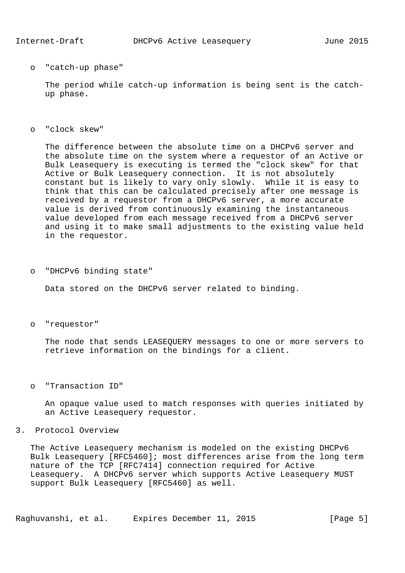o "catch-up phase"

 The period while catch-up information is being sent is the catch up phase.

o "clock skew"

 The difference between the absolute time on a DHCPv6 server and the absolute time on the system where a requestor of an Active or Bulk Leasequery is executing is termed the "clock skew" for that Active or Bulk Leasequery connection. It is not absolutely constant but is likely to vary only slowly. While it is easy to think that this can be calculated precisely after one message is received by a requestor from a DHCPv6 server, a more accurate value is derived from continuously examining the instantaneous value developed from each message received from a DHCPv6 server and using it to make small adjustments to the existing value held in the requestor.

o "DHCPv6 binding state"

Data stored on the DHCPv6 server related to binding.

o "requestor"

 The node that sends LEASEQUERY messages to one or more servers to retrieve information on the bindings for a client.

o "Transaction ID"

 An opaque value used to match responses with queries initiated by an Active Leasequery requestor.

## 3. Protocol Overview

 The Active Leasequery mechanism is modeled on the existing DHCPv6 Bulk Leasequery [RFC5460]; most differences arise from the long term nature of the TCP [RFC7414] connection required for Active Leasequery. A DHCPv6 server which supports Active Leasequery MUST support Bulk Leasequery [RFC5460] as well.

Raghuvanshi, et al. Expires December 11, 2015 [Page 5]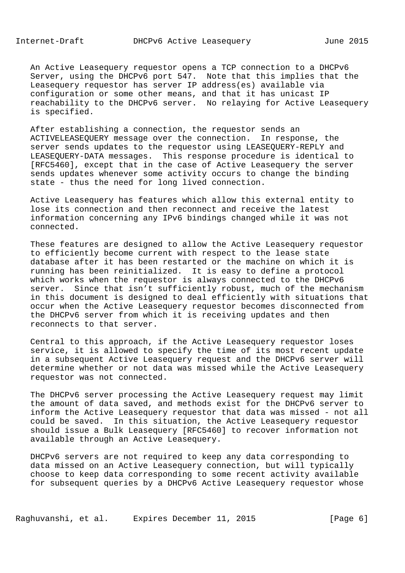An Active Leasequery requestor opens a TCP connection to a DHCPv6 Server, using the DHCPv6 port 547. Note that this implies that the Leasequery requestor has server IP address(es) available via configuration or some other means, and that it has unicast IP reachability to the DHCPv6 server. No relaying for Active Leasequery is specified.

 After establishing a connection, the requestor sends an ACTIVELEASEQUERY message over the connection. In response, the server sends updates to the requestor using LEASEQUERY-REPLY and LEASEQUERY-DATA messages. This response procedure is identical to [RFC5460], except that in the case of Active Leasequery the server sends updates whenever some activity occurs to change the binding state - thus the need for long lived connection.

 Active Leasequery has features which allow this external entity to lose its connection and then reconnect and receive the latest information concerning any IPv6 bindings changed while it was not connected.

 These features are designed to allow the Active Leasequery requestor to efficiently become current with respect to the lease state database after it has been restarted or the machine on which it is running has been reinitialized. It is easy to define a protocol which works when the requestor is always connected to the DHCPv6 server. Since that isn't sufficiently robust, much of the mechanism in this document is designed to deal efficiently with situations that occur when the Active Leasequery requestor becomes disconnected from the DHCPv6 server from which it is receiving updates and then reconnects to that server.

 Central to this approach, if the Active Leasequery requestor loses service, it is allowed to specify the time of its most recent update in a subsequent Active Leasequery request and the DHCPv6 server will determine whether or not data was missed while the Active Leasequery requestor was not connected.

 The DHCPv6 server processing the Active Leasequery request may limit the amount of data saved, and methods exist for the DHCPv6 server to inform the Active Leasequery requestor that data was missed - not all could be saved. In this situation, the Active Leasequery requestor should issue a Bulk Leasequery [RFC5460] to recover information not available through an Active Leasequery.

 DHCPv6 servers are not required to keep any data corresponding to data missed on an Active Leasequery connection, but will typically choose to keep data corresponding to some recent activity available for subsequent queries by a DHCPv6 Active Leasequery requestor whose

Raghuvanshi, et al. Expires December 11, 2015 [Page 6]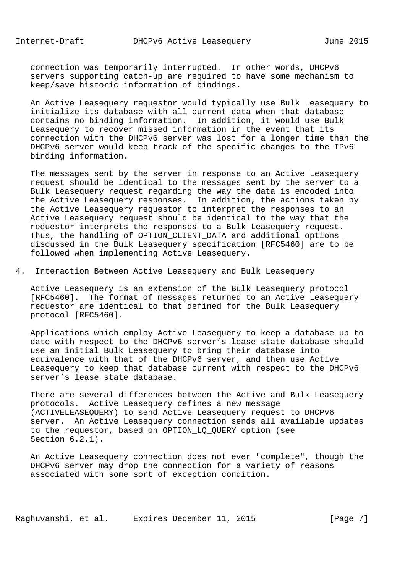connection was temporarily interrupted. In other words, DHCPv6 servers supporting catch-up are required to have some mechanism to keep/save historic information of bindings.

 An Active Leasequery requestor would typically use Bulk Leasequery to initialize its database with all current data when that database contains no binding information. In addition, it would use Bulk Leasequery to recover missed information in the event that its connection with the DHCPv6 server was lost for a longer time than the DHCPv6 server would keep track of the specific changes to the IPv6 binding information.

 The messages sent by the server in response to an Active Leasequery request should be identical to the messages sent by the server to a Bulk Leasequery request regarding the way the data is encoded into the Active Leasequery responses. In addition, the actions taken by the Active Leasequery requestor to interpret the responses to an Active Leasequery request should be identical to the way that the requestor interprets the responses to a Bulk Leasequery request. Thus, the handling of OPTION CLIENT DATA and additional options discussed in the Bulk Leasequery specification [RFC5460] are to be followed when implementing Active Leasequery.

4. Interaction Between Active Leasequery and Bulk Leasequery

 Active Leasequery is an extension of the Bulk Leasequery protocol [RFC5460]. The format of messages returned to an Active Leasequery requestor are identical to that defined for the Bulk Leasequery protocol [RFC5460].

 Applications which employ Active Leasequery to keep a database up to date with respect to the DHCPv6 server's lease state database should use an initial Bulk Leasequery to bring their database into equivalence with that of the DHCPv6 server, and then use Active Leasequery to keep that database current with respect to the DHCPv6 server's lease state database.

 There are several differences between the Active and Bulk Leasequery protocols. Active Leasequery defines a new message (ACTIVELEASEQUERY) to send Active Leasequery request to DHCPv6 server. An Active Leasequery connection sends all available updates to the requestor, based on OPTION\_LQ\_QUERY option (see Section 6.2.1).

 An Active Leasequery connection does not ever "complete", though the DHCPv6 server may drop the connection for a variety of reasons associated with some sort of exception condition.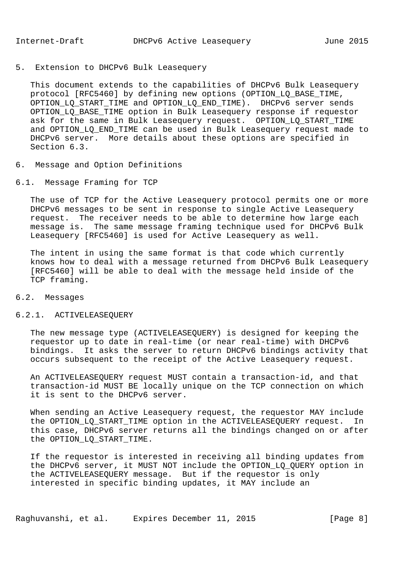5. Extension to DHCPv6 Bulk Leasequery

 This document extends to the capabilities of DHCPv6 Bulk Leasequery protocol [RFC5460] by defining new options (OPTION\_LQ\_BASE\_TIME, OPTION\_LQ\_START\_TIME and OPTION\_LQ\_END\_TIME). DHCPv6 server sends OPTION\_LQ\_BASE\_TIME option in Bulk Leasequery response if requestor ask for the same in Bulk Leasequery request. OPTION\_LQ\_START\_TIME and OPTION\_LQ\_END\_TIME can be used in Bulk Leasequery request made to DHCPv6 server. More details about these options are specified in Section 6.3.

- 6. Message and Option Definitions
- 6.1. Message Framing for TCP

 The use of TCP for the Active Leasequery protocol permits one or more DHCPv6 messages to be sent in response to single Active Leasequery request. The receiver needs to be able to determine how large each message is. The same message framing technique used for DHCPv6 Bulk Leasequery [RFC5460] is used for Active Leasequery as well.

 The intent in using the same format is that code which currently knows how to deal with a message returned from DHCPv6 Bulk Leasequery [RFC5460] will be able to deal with the message held inside of the TCP framing.

## 6.2. Messages

## 6.2.1. ACTIVELEASEQUERY

 The new message type (ACTIVELEASEQUERY) is designed for keeping the requestor up to date in real-time (or near real-time) with DHCPv6 bindings. It asks the server to return DHCPv6 bindings activity that occurs subsequent to the receipt of the Active Leasequery request.

 An ACTIVELEASEQUERY request MUST contain a transaction-id, and that transaction-id MUST BE locally unique on the TCP connection on which it is sent to the DHCPv6 server.

 When sending an Active Leasequery request, the requestor MAY include the OPTION LO START TIME option in the ACTIVELEASEOUERY request. In this case, DHCPv6 server returns all the bindings changed on or after the OPTION\_LQ\_START\_TIME.

 If the requestor is interested in receiving all binding updates from the DHCPv6 server, it MUST NOT include the OPTION\_LQ\_QUERY option in the ACTIVELEASEQUERY message. But if the requestor is only interested in specific binding updates, it MAY include an

Raghuvanshi, et al. Expires December 11, 2015 [Page 8]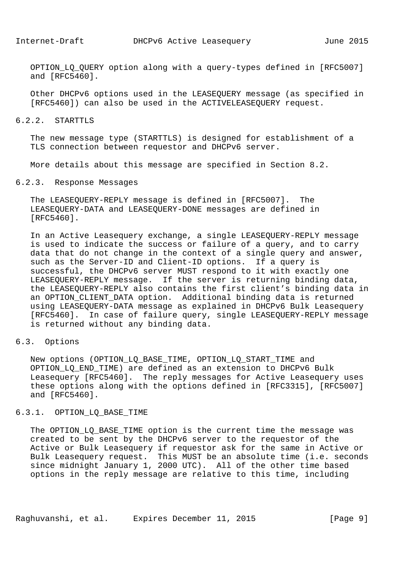OPTION LO OUERY option along with a query-types defined in [RFC5007] and [RFC5460].

 Other DHCPv6 options used in the LEASEQUERY message (as specified in [RFC5460]) can also be used in the ACTIVELEASEQUERY request.

## 6.2.2. STARTTLS

 The new message type (STARTTLS) is designed for establishment of a TLS connection between requestor and DHCPv6 server.

More details about this message are specified in Section 8.2.

#### 6.2.3. Response Messages

 The LEASEQUERY-REPLY message is defined in [RFC5007]. The LEASEQUERY-DATA and LEASEQUERY-DONE messages are defined in [RFC5460].

 In an Active Leasequery exchange, a single LEASEQUERY-REPLY message is used to indicate the success or failure of a query, and to carry data that do not change in the context of a single query and answer, such as the Server-ID and Client-ID options. If a query is successful, the DHCPv6 server MUST respond to it with exactly one LEASEQUERY-REPLY message. If the server is returning binding data, the LEASEQUERY-REPLY also contains the first client's binding data in an OPTION\_CLIENT\_DATA option. Additional binding data is returned using LEASEQUERY-DATA message as explained in DHCPv6 Bulk Leasequery [RFC5460]. In case of failure query, single LEASEQUERY-REPLY message is returned without any binding data.

6.3. Options

 New options (OPTION\_LQ\_BASE\_TIME, OPTION\_LQ\_START\_TIME and OPTION\_LQ\_END\_TIME) are defined as an extension to DHCPv6 Bulk Leasequery [RFC5460]. The reply messages for Active Leasequery uses these options along with the options defined in [RFC3315], [RFC5007] and [RFC5460].

## 6.3.1. OPTION\_LQ\_BASE\_TIME

The OPTION LQ BASE TIME option is the current time the message was created to be sent by the DHCPv6 server to the requestor of the Active or Bulk Leasequery if requestor ask for the same in Active or Bulk Leasequery request. This MUST be an absolute time (i.e. seconds since midnight January 1, 2000 UTC). All of the other time based options in the reply message are relative to this time, including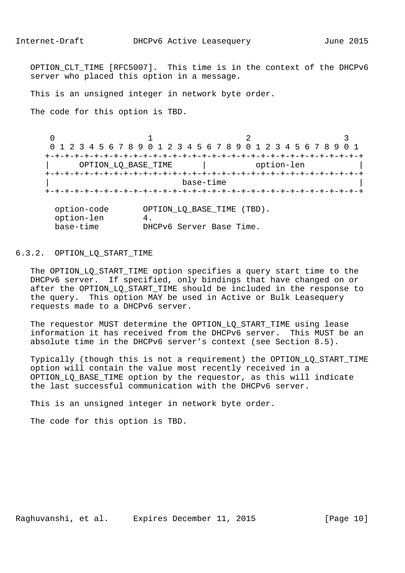OPTION CLT TIME [RFC5007]. This time is in the context of the DHCPv6 server who placed this option in a message.

This is an unsigned integer in network byte order.

The code for this option is TBD.

 $0$  and  $1$  and  $2$  3 0 1 2 3 4 5 6 7 8 9 0 1 2 3 4 5 6 7 8 9 0 1 2 3 4 5 6 7 8 9 0 1 +-+-+-+-+-+-+-+-+-+-+-+-+-+-+-+-+-+-+-+-+-+-+-+-+-+-+-+-+-+-+-+-+ OPTION\_LQ\_BASE\_TIME | option-len +-+-+-+-+-+-+-+-+-+-+-+-+-+-+-+-+-+-+-+-+-+-+-+-+-+-+-+-+-+-+-+-+ | base-time | +-+-+-+-+-+-+-+-+-+-+-+-+-+-+-+-+-+-+-+-+-+-+-+-+-+-+-+-+-+-+-+-+ option-code OPTION\_LQ\_BASE\_TIME (TBD).  $\begin{array}{ccc} \circ_F & = & \circ_F & = & \circ_F & = & \circ_F & = & \circ_F & = & \circ_F & = & \circ_F & = & \circ_F & = & \circ_F & = & \circ_F & = & \circ_F & = & \circ_F & = & \circ_F & = & \circ_F & = & \circ_F & = & \circ_F & = & \circ_F & = & \circ_F & = & \circ_F & = & \circ_F & = & \circ_F & = & \circ_F & = & \circ_F & = & \circ_F & = & \circ_F & = & \circ_F & = & \circ_F & = & \circ_F & = & \circ_F & = & \circ_F & = & \circ_F & = & \circ_F & = & \circ_F & = & \circ_F & = & \circ_F & = & \circ_F$ base-time DHCPv6 Server Base Time.

## 6.3.2. OPTION\_LQ\_START\_TIME

 The OPTION\_LQ\_START\_TIME option specifies a query start time to the DHCPv6 server. If specified, only bindings that have changed on or after the OPTION\_LQ\_START\_TIME should be included in the response to the query. This option MAY be used in Active or Bulk Leasequery requests made to a DHCPv6 server.

The requestor MUST determine the OPTION LO START TIME using lease information it has received from the DHCPv6 server. This MUST be an absolute time in the DHCPv6 server's context (see Section 8.5).

 Typically (though this is not a requirement) the OPTION\_LQ\_START\_TIME option will contain the value most recently received in a OPTION\_LQ\_BASE\_TIME option by the requestor, as this will indicate the last successful communication with the DHCPv6 server.

This is an unsigned integer in network byte order.

The code for this option is TBD.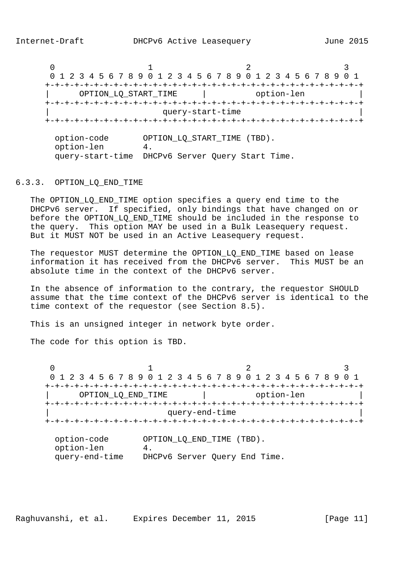$0$  and  $1$  and  $2$  3 0 1 2 3 4 5 6 7 8 9 0 1 2 3 4 5 6 7 8 9 0 1 2 3 4 5 6 7 8 9 0 1 +-+-+-+-+-+-+-+-+-+-+-+-+-+-+-+-+-+-+-+-+-+-+-+-+-+-+-+-+-+-+-+-+ | OPTION\_LQ\_START\_TIME | option-len | +-+-+-+-+-+-+-+-+-+-+-+-+-+-+-+-+-+-+-+-+-+-+-+-+-+-+-+-+-+-+-+-+ query-start-time +-+-+-+-+-+-+-+-+-+-+-+-+-+-+-+-+-+-+-+-+-+-+-+-+-+-+-+-+-+-+-+-+ option-code OPTION\_LQ\_START\_TIME (TBD). option-len 4. query-start-time DHCPv6 Server Query Start Time.

6.3.3. OPTION\_LQ\_END\_TIME

The OPTION LQ END TIME option specifies a query end time to the DHCPv6 server. If specified, only bindings that have changed on or before the OPTION\_LQ\_END\_TIME should be included in the response to the query. This option MAY be used in a Bulk Leasequery request. But it MUST NOT be used in an Active Leasequery request.

The requestor MUST determine the OPTION LQ END TIME based on lease information it has received from the DHCPv6 server. This MUST be an absolute time in the context of the DHCPv6 server.

 In the absence of information to the contrary, the requestor SHOULD assume that the time context of the DHCPv6 server is identical to the time context of the requestor (see Section 8.5).

This is an unsigned integer in network byte order.

The code for this option is TBD.

 $0$  and  $1$  and  $2$  3 0 1 2 3 4 5 6 7 8 9 0 1 2 3 4 5 6 7 8 9 0 1 2 3 4 5 6 7 8 9 0 1 +-+-+-+-+-+-+-+-+-+-+-+-+-+-+-+-+-+-+-+-+-+-+-+-+-+-+-+-+-+-+-+-+ OPTION\_LQ\_END\_TIME | option-len +-+-+-+-+-+-+-+-+-+-+-+-+-+-+-+-+-+-+-+-+-+-+-+-+-+-+-+-+-+-+-+-+ query-end-time +-+-+-+-+-+-+-+-+-+-+-+-+-+-+-+-+-+-+-+-+-+-+-+-+-+-+-+-+-+-+-+-+

 option-code OPTION\_LQ\_END\_TIME (TBD). option-len 4. query-end-time DHCPv6 Server Query End Time.

Raghuvanshi, et al. Expires December 11, 2015 [Page 11]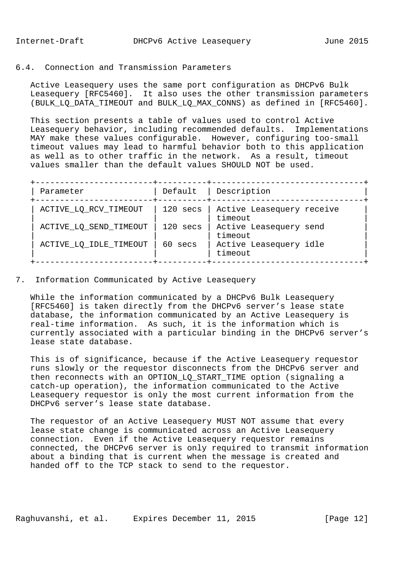# 6.4. Connection and Transmission Parameters

 Active Leasequery uses the same port configuration as DHCPv6 Bulk Leasequery [RFC5460]. It also uses the other transmission parameters (BULK\_LQ\_DATA\_TIMEOUT and BULK\_LQ\_MAX\_CONNS) as defined in [RFC5460].

 This section presents a table of values used to control Active Leasequery behavior, including recommended defaults. Implementations MAY make these values configurable. However, configuring too-small timeout values may lead to harmful behavior both to this application as well as to other traffic in the network. As a result, timeout values smaller than the default values SHOULD NOT be used.

| Parameter              | Default    | Description                          |
|------------------------|------------|--------------------------------------|
| ACTIVE_LQ_RCV_TIMEOUT  | 120 secs   | Active Leasequery receive<br>timeout |
| ACTIVE_LQ_SEND_TIMEOUT | $120$ secs | Active Leasequery send<br>timeout    |
| ACTIVE_LQ_IDLE_TIMEOUT | 60 secs    | Active Leasequery idle<br>timeout    |

7. Information Communicated by Active Leasequery

 While the information communicated by a DHCPv6 Bulk Leasequery [RFC5460] is taken directly from the DHCPv6 server's lease state database, the information communicated by an Active Leasequery is real-time information. As such, it is the information which is currently associated with a particular binding in the DHCPv6 server's lease state database.

 This is of significance, because if the Active Leasequery requestor runs slowly or the requestor disconnects from the DHCPv6 server and then reconnects with an OPTION\_LQ\_START\_TIME option (signaling a catch-up operation), the information communicated to the Active Leasequery requestor is only the most current information from the DHCPv6 server's lease state database.

 The requestor of an Active Leasequery MUST NOT assume that every lease state change is communicated across an Active Leasequery connection. Even if the Active Leasequery requestor remains connected, the DHCPv6 server is only required to transmit information about a binding that is current when the message is created and handed off to the TCP stack to send to the requestor.

Raghuvanshi, et al. Expires December 11, 2015 [Page 12]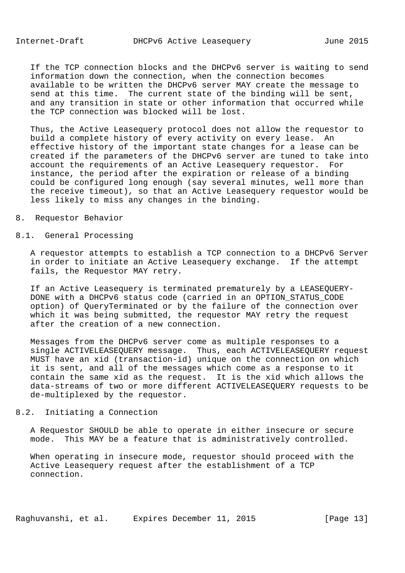If the TCP connection blocks and the DHCPv6 server is waiting to send information down the connection, when the connection becomes available to be written the DHCPv6 server MAY create the message to send at this time. The current state of the binding will be sent, and any transition in state or other information that occurred while the TCP connection was blocked will be lost.

 Thus, the Active Leasequery protocol does not allow the requestor to build a complete history of every activity on every lease. An effective history of the important state changes for a lease can be created if the parameters of the DHCPv6 server are tuned to take into account the requirements of an Active Leasequery requestor. For instance, the period after the expiration or release of a binding could be configured long enough (say several minutes, well more than the receive timeout), so that an Active Leasequery requestor would be less likely to miss any changes in the binding.

## 8. Requestor Behavior

# 8.1. General Processing

 A requestor attempts to establish a TCP connection to a DHCPv6 Server in order to initiate an Active Leasequery exchange. If the attempt fails, the Requestor MAY retry.

 If an Active Leasequery is terminated prematurely by a LEASEQUERY- DONE with a DHCPv6 status code (carried in an OPTION\_STATUS\_CODE option) of QueryTerminated or by the failure of the connection over which it was being submitted, the requestor MAY retry the request after the creation of a new connection.

 Messages from the DHCPv6 server come as multiple responses to a single ACTIVELEASEQUERY message. Thus, each ACTIVELEASEQUERY request MUST have an xid (transaction-id) unique on the connection on which it is sent, and all of the messages which come as a response to it contain the same xid as the request. It is the xid which allows the data-streams of two or more different ACTIVELEASEQUERY requests to be de-multiplexed by the requestor.

# 8.2. Initiating a Connection

 A Requestor SHOULD be able to operate in either insecure or secure mode. This MAY be a feature that is administratively controlled.

 When operating in insecure mode, requestor should proceed with the Active Leasequery request after the establishment of a TCP connection.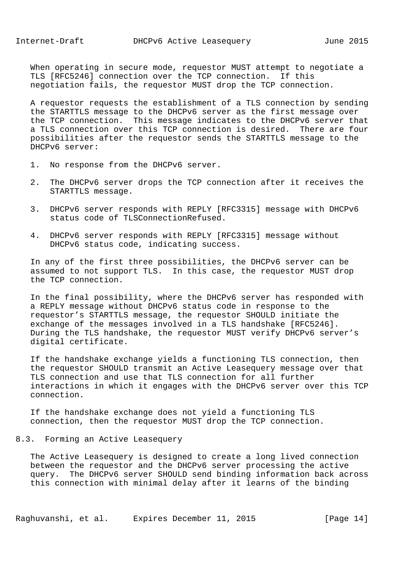When operating in secure mode, requestor MUST attempt to negotiate a TLS [RFC5246] connection over the TCP connection. If this negotiation fails, the requestor MUST drop the TCP connection.

 A requestor requests the establishment of a TLS connection by sending the STARTTLS message to the DHCPv6 server as the first message over the TCP connection. This message indicates to the DHCPv6 server that a TLS connection over this TCP connection is desired. There are four possibilities after the requestor sends the STARTTLS message to the DHCPv6 server:

- 1. No response from the DHCPv6 server.
- 2. The DHCPv6 server drops the TCP connection after it receives the STARTTLS message.
- 3. DHCPv6 server responds with REPLY [RFC3315] message with DHCPv6 status code of TLSConnectionRefused.
- 4. DHCPv6 server responds with REPLY [RFC3315] message without DHCPv6 status code, indicating success.

 In any of the first three possibilities, the DHCPv6 server can be assumed to not support TLS. In this case, the requestor MUST drop the TCP connection.

 In the final possibility, where the DHCPv6 server has responded with a REPLY message without DHCPv6 status code in response to the requestor's STARTTLS message, the requestor SHOULD initiate the exchange of the messages involved in a TLS handshake [RFC5246]. During the TLS handshake, the requestor MUST verify DHCPv6 server's digital certificate.

 If the handshake exchange yields a functioning TLS connection, then the requestor SHOULD transmit an Active Leasequery message over that TLS connection and use that TLS connection for all further interactions in which it engages with the DHCPv6 server over this TCP connection.

 If the handshake exchange does not yield a functioning TLS connection, then the requestor MUST drop the TCP connection.

## 8.3. Forming an Active Leasequery

 The Active Leasequery is designed to create a long lived connection between the requestor and the DHCPv6 server processing the active query. The DHCPv6 server SHOULD send binding information back across this connection with minimal delay after it learns of the binding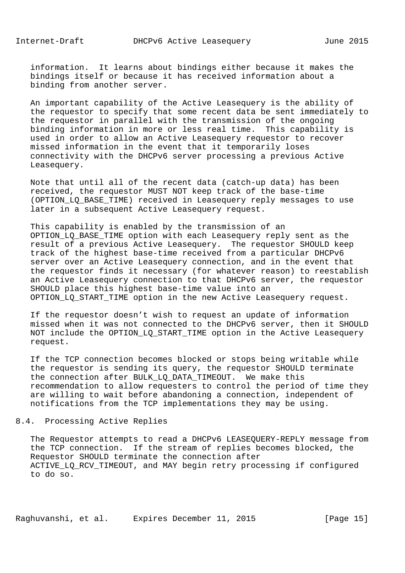information. It learns about bindings either because it makes the bindings itself or because it has received information about a binding from another server.

 An important capability of the Active Leasequery is the ability of the requestor to specify that some recent data be sent immediately to the requestor in parallel with the transmission of the ongoing binding information in more or less real time. This capability is used in order to allow an Active Leasequery requestor to recover missed information in the event that it temporarily loses connectivity with the DHCPv6 server processing a previous Active Leasequery.

 Note that until all of the recent data (catch-up data) has been received, the requestor MUST NOT keep track of the base-time (OPTION\_LQ\_BASE\_TIME) received in Leasequery reply messages to use later in a subsequent Active Leasequery request.

 This capability is enabled by the transmission of an OPTION LQ\_BASE\_TIME option with each Leasequery reply sent as the result of a previous Active Leasequery. The requestor SHOULD keep track of the highest base-time received from a particular DHCPv6 server over an Active Leasequery connection, and in the event that the requestor finds it necessary (for whatever reason) to reestablish an Active Leasequery connection to that DHCPv6 server, the requestor SHOULD place this highest base-time value into an OPTION\_LQ\_START\_TIME option in the new Active Leasequery request.

 If the requestor doesn't wish to request an update of information missed when it was not connected to the DHCPv6 server, then it SHOULD NOT include the OPTION\_LQ\_START\_TIME option in the Active Leasequery request.

 If the TCP connection becomes blocked or stops being writable while the requestor is sending its query, the requestor SHOULD terminate the connection after BULK\_LQ\_DATA\_TIMEOUT. We make this recommendation to allow requesters to control the period of time they are willing to wait before abandoning a connection, independent of notifications from the TCP implementations they may be using.

8.4. Processing Active Replies

 The Requestor attempts to read a DHCPv6 LEASEQUERY-REPLY message from the TCP connection. If the stream of replies becomes blocked, the Requestor SHOULD terminate the connection after ACTIVE\_LQ\_RCV\_TIMEOUT, and MAY begin retry processing if configured to do so.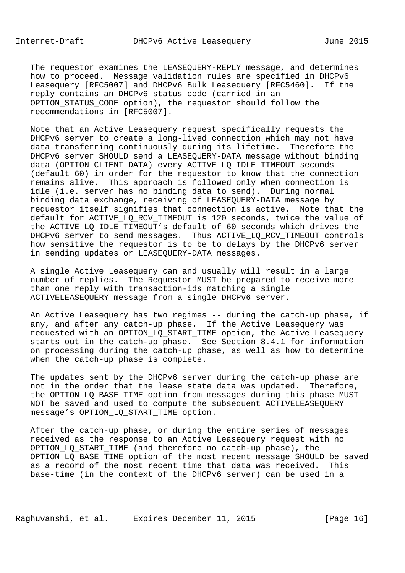The requestor examines the LEASEQUERY-REPLY message, and determines how to proceed. Message validation rules are specified in DHCPv6 Leasequery [RFC5007] and DHCPv6 Bulk Leasequery [RFC5460]. If the reply contains an DHCPv6 status code (carried in an OPTION\_STATUS\_CODE option), the requestor should follow the recommendations in [RFC5007].

 Note that an Active Leasequery request specifically requests the DHCPv6 server to create a long-lived connection which may not have data transferring continuously during its lifetime. Therefore the DHCPv6 server SHOULD send a LEASEQUERY-DATA message without binding data (OPTION\_CLIENT\_DATA) every ACTIVE\_LQ\_IDLE\_TIMEOUT seconds (default 60) in order for the requestor to know that the connection remains alive. This approach is followed only when connection is idle (i.e. server has no binding data to send). During normal binding data exchange, receiving of LEASEQUERY-DATA message by requestor itself signifies that connection is active. Note that the default for ACTIVE\_LQ\_RCV\_TIMEOUT is 120 seconds, twice the value of the ACTIVE LQ IDLE TIMEOUT's default of 60 seconds which drives the DHCPv6 server to send messages. Thus ACTIVE\_LQ\_RCV\_TIMEOUT controls how sensitive the requestor is to be to delays by the DHCPv6 server in sending updates or LEASEQUERY-DATA messages.

 A single Active Leasequery can and usually will result in a large number of replies. The Requestor MUST be prepared to receive more than one reply with transaction-ids matching a single ACTIVELEASEQUERY message from a single DHCPv6 server.

 An Active Leasequery has two regimes -- during the catch-up phase, if any, and after any catch-up phase. If the Active Leasequery was requested with an OPTION\_LQ\_START\_TIME option, the Active Leasequery starts out in the catch-up phase. See Section 8.4.1 for information on processing during the catch-up phase, as well as how to determine when the catch-up phase is complete.

 The updates sent by the DHCPv6 server during the catch-up phase are not in the order that the lease state data was updated. Therefore, the OPTION\_LQ\_BASE\_TIME option from messages during this phase MUST NOT be saved and used to compute the subsequent ACTIVELEASEQUERY message's OPTION\_LQ\_START\_TIME option.

 After the catch-up phase, or during the entire series of messages received as the response to an Active Leasequery request with no OPTION\_LQ\_START\_TIME (and therefore no catch-up phase), the OPTION\_LQ\_BASE\_TIME option of the most recent message SHOULD be saved as a record of the most recent time that data was received. This base-time (in the context of the DHCPv6 server) can be used in a

Raghuvanshi, et al. Expires December 11, 2015 [Page 16]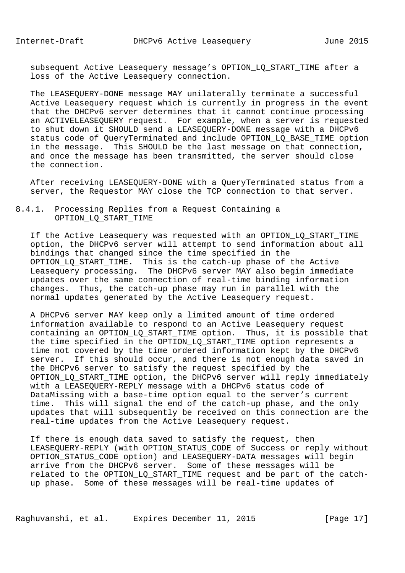subsequent Active Leasequery message's OPTION\_LQ\_START\_TIME after a loss of the Active Leasequery connection.

 The LEASEQUERY-DONE message MAY unilaterally terminate a successful Active Leasequery request which is currently in progress in the event that the DHCPv6 server determines that it cannot continue processing an ACTIVELEASEQUERY request. For example, when a server is requested to shut down it SHOULD send a LEASEQUERY-DONE message with a DHCPv6 status code of QueryTerminated and include OPTION\_LQ\_BASE\_TIME option in the message. This SHOULD be the last message on that connection, and once the message has been transmitted, the server should close the connection.

 After receiving LEASEQUERY-DONE with a QueryTerminated status from a server, the Requestor MAY close the TCP connection to that server.

# 8.4.1. Processing Replies from a Request Containing a OPTION\_LQ\_START\_TIME

 If the Active Leasequery was requested with an OPTION\_LQ\_START\_TIME option, the DHCPv6 server will attempt to send information about all bindings that changed since the time specified in the OPTION\_LQ\_START\_TIME. This is the catch-up phase of the Active Leasequery processing. The DHCPv6 server MAY also begin immediate updates over the same connection of real-time binding information changes. Thus, the catch-up phase may run in parallel with the normal updates generated by the Active Leasequery request.

 A DHCPv6 server MAY keep only a limited amount of time ordered information available to respond to an Active Leasequery request containing an OPTION\_LQ\_START\_TIME option. Thus, it is possible that the time specified in the OPTION\_LQ\_START\_TIME option represents a time not covered by the time ordered information kept by the DHCPv6 server. If this should occur, and there is not enough data saved in the DHCPv6 server to satisfy the request specified by the OPTION\_LQ\_START\_TIME option, the DHCPv6 server will reply immediately with a LEASEQUERY-REPLY message with a DHCPv6 status code of DataMissing with a base-time option equal to the server's current time. This will signal the end of the catch-up phase, and the only updates that will subsequently be received on this connection are the real-time updates from the Active Leasequery request.

 If there is enough data saved to satisfy the request, then LEASEQUERY-REPLY (with OPTION\_STATUS\_CODE of Success or reply without OPTION\_STATUS\_CODE option) and LEASEQUERY-DATA messages will begin arrive from the DHCPv6 server. Some of these messages will be related to the OPTION\_LQ\_START\_TIME request and be part of the catch up phase. Some of these messages will be real-time updates of

Raghuvanshi, et al. Expires December 11, 2015 [Page 17]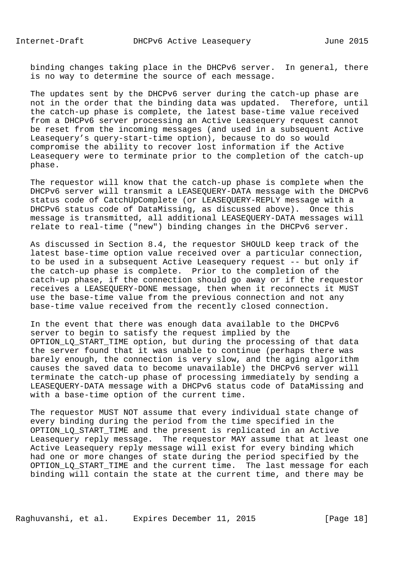binding changes taking place in the DHCPv6 server. In general, there is no way to determine the source of each message.

 The updates sent by the DHCPv6 server during the catch-up phase are not in the order that the binding data was updated. Therefore, until the catch-up phase is complete, the latest base-time value received from a DHCPv6 server processing an Active Leasequery request cannot be reset from the incoming messages (and used in a subsequent Active Leasequery's query-start-time option), because to do so would compromise the ability to recover lost information if the Active Leasequery were to terminate prior to the completion of the catch-up phase.

 The requestor will know that the catch-up phase is complete when the DHCPv6 server will transmit a LEASEQUERY-DATA message with the DHCPv6 status code of CatchUpComplete (or LEASEQUERY-REPLY message with a DHCPv6 status code of DataMissing, as discussed above). Once this message is transmitted, all additional LEASEQUERY-DATA messages will relate to real-time ("new") binding changes in the DHCPv6 server.

 As discussed in Section 8.4, the requestor SHOULD keep track of the latest base-time option value received over a particular connection, to be used in a subsequent Active Leasequery request -- but only if the catch-up phase is complete. Prior to the completion of the catch-up phase, if the connection should go away or if the requestor receives a LEASEQUERY-DONE message, then when it reconnects it MUST use the base-time value from the previous connection and not any base-time value received from the recently closed connection.

 In the event that there was enough data available to the DHCPv6 server to begin to satisfy the request implied by the OPTION\_LQ\_START\_TIME option, but during the processing of that data the server found that it was unable to continue (perhaps there was barely enough, the connection is very slow, and the aging algorithm causes the saved data to become unavailable) the DHCPv6 server will terminate the catch-up phase of processing immediately by sending a LEASEQUERY-DATA message with a DHCPv6 status code of DataMissing and with a base-time option of the current time.

 The requestor MUST NOT assume that every individual state change of every binding during the period from the time specified in the OPTION LO START TIME and the present is replicated in an Active Leasequery reply message. The requestor MAY assume that at least one Active Leasequery reply message will exist for every binding which had one or more changes of state during the period specified by the OPTION LO START TIME and the current time. The last message for each binding will contain the state at the current time, and there may be

Raghuvanshi, et al. Expires December 11, 2015 [Page 18]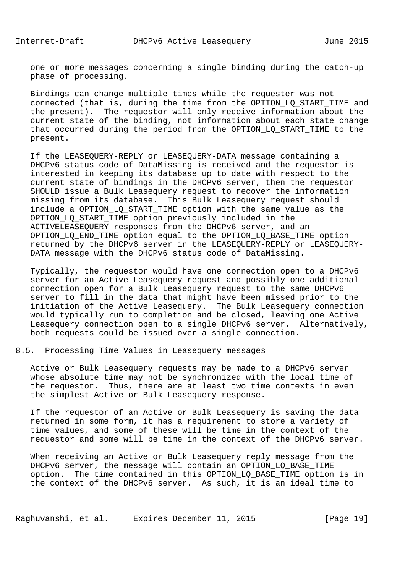one or more messages concerning a single binding during the catch-up phase of processing.

 Bindings can change multiple times while the requester was not connected (that is, during the time from the OPTION\_LQ\_START\_TIME and the present). The requestor will only receive information about the current state of the binding, not information about each state change that occurred during the period from the OPTION\_LQ\_START\_TIME to the present.

 If the LEASEQUERY-REPLY or LEASEQUERY-DATA message containing a DHCPv6 status code of DataMissing is received and the requestor is interested in keeping its database up to date with respect to the current state of bindings in the DHCPv6 server, then the requestor SHOULD issue a Bulk Leasequery request to recover the information missing from its database. This Bulk Leasequery request should include a OPTION\_LQ\_START\_TIME option with the same value as the OPTION\_LQ\_START\_TIME option previously included in the ACTIVELEASEQUERY responses from the DHCPv6 server, and an OPTION\_LQ\_END\_TIME option equal to the OPTION\_LQ\_BASE\_TIME option returned by the DHCPv6 server in the LEASEQUERY-REPLY or LEASEQUERY- DATA message with the DHCPv6 status code of DataMissing.

 Typically, the requestor would have one connection open to a DHCPv6 server for an Active Leasequery request and possibly one additional connection open for a Bulk Leasequery request to the same DHCPv6 server to fill in the data that might have been missed prior to the initiation of the Active Leasequery. The Bulk Leasequery connection would typically run to completion and be closed, leaving one Active Leasequery connection open to a single DHCPv6 server. Alternatively, both requests could be issued over a single connection.

8.5. Processing Time Values in Leasequery messages

 Active or Bulk Leasequery requests may be made to a DHCPv6 server whose absolute time may not be synchronized with the local time of the requestor. Thus, there are at least two time contexts in even the simplest Active or Bulk Leasequery response.

 If the requestor of an Active or Bulk Leasequery is saving the data returned in some form, it has a requirement to store a variety of time values, and some of these will be time in the context of the requestor and some will be time in the context of the DHCPv6 server.

 When receiving an Active or Bulk Leasequery reply message from the DHCPv6 server, the message will contain an OPTION LO BASE TIME option. The time contained in this OPTION\_LQ\_BASE\_TIME option is in the context of the DHCPv6 server. As such, it is an ideal time to

Raghuvanshi, et al. Expires December 11, 2015 [Page 19]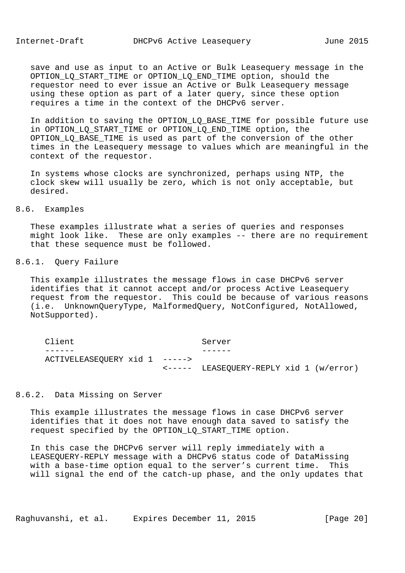save and use as input to an Active or Bulk Leasequery message in the OPTION\_LQ\_START\_TIME or OPTION\_LQ\_END\_TIME option, should the requestor need to ever issue an Active or Bulk Leasequery message using these option as part of a later query, since these option requires a time in the context of the DHCPv6 server.

 In addition to saving the OPTION\_LQ\_BASE\_TIME for possible future use in OPTION\_LQ\_START\_TIME or OPTION\_LQ\_END\_TIME option, the OPTION\_LQ\_BASE\_TIME is used as part of the conversion of the other times in the Leasequery message to values which are meaningful in the context of the requestor.

 In systems whose clocks are synchronized, perhaps using NTP, the clock skew will usually be zero, which is not only acceptable, but desired.

## 8.6. Examples

 These examples illustrate what a series of queries and responses might look like. These are only examples -- there are no requirement that these sequence must be followed.

## 8.6.1. Query Failure

 This example illustrates the message flows in case DHCPv6 server identifies that it cannot accept and/or process Active Leasequery request from the requestor. This could be because of various reasons (i.e. UnknownQueryType, MalformedQuery, NotConfigured, NotAllowed, NotSupported).

| Client                        | Server                                           |  |  |  |
|-------------------------------|--------------------------------------------------|--|--|--|
|                               |                                                  |  |  |  |
| ACTIVELEASEQUERY xid 1 -----> |                                                  |  |  |  |
|                               | $\leftarrow---$ LEASEQUERY-REPLY xid 1 (w/error) |  |  |  |

## 8.6.2. Data Missing on Server

 This example illustrates the message flows in case DHCPv6 server identifies that it does not have enough data saved to satisfy the request specified by the OPTION\_LQ\_START\_TIME option.

 In this case the DHCPv6 server will reply immediately with a LEASEQUERY-REPLY message with a DHCPv6 status code of DataMissing with a base-time option equal to the server's current time. This will signal the end of the catch-up phase, and the only updates that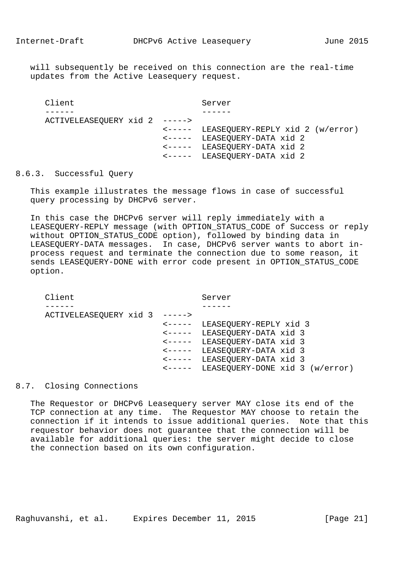will subsequently be received on this connection are the real-time updates from the Active Leasequery request.

```
Client Server
------ ------
    ACTIVELEASEQUERY xid 2 ----->
                       <----- LEASEQUERY-REPLY xid 2 (w/error)
                       <----- LEASEQUERY-DATA xid 2
                       <----- LEASEQUERY-DATA xid 2
                       <----- LEASEQUERY-DATA xid 2
```
# 8.6.3. Successful Query

 This example illustrates the message flows in case of successful query processing by DHCPv6 server.

 In this case the DHCPv6 server will reply immediately with a LEASEQUERY-REPLY message (with OPTION STATUS CODE of Success or reply without OPTION\_STATUS\_CODE option), followed by binding data in LEASEQUERY-DATA messages. In case, DHCPv6 server wants to abort in process request and terminate the connection due to some reason, it sends LEASEQUERY-DONE with error code present in OPTION\_STATUS\_CODE option.

Client Server ------ ------ ACTIVELEASEQUERY xid 3 -----> <----- LEASEQUERY-REPLY xid 3 <----- LEASEQUERY-DATA xid 3 <----- LEASEQUERY-DATA xid 3 <----- LEASEQUERY-DATA xid 3 <----- LEASEQUERY-DATA xid 3 <----- LEASEQUERY-DONE xid 3 (w/error)

## 8.7. Closing Connections

 The Requestor or DHCPv6 Leasequery server MAY close its end of the TCP connection at any time. The Requestor MAY choose to retain the connection if it intends to issue additional queries. Note that this requestor behavior does not guarantee that the connection will be available for additional queries: the server might decide to close the connection based on its own configuration.

Raghuvanshi, et al. Expires December 11, 2015 [Page 21]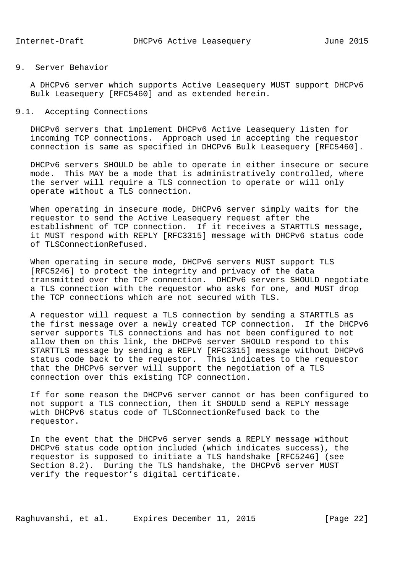# 9. Server Behavior

 A DHCPv6 server which supports Active Leasequery MUST support DHCPv6 Bulk Leasequery [RFC5460] and as extended herein.

## 9.1. Accepting Connections

 DHCPv6 servers that implement DHCPv6 Active Leasequery listen for incoming TCP connections. Approach used in accepting the requestor connection is same as specified in DHCPv6 Bulk Leasequery [RFC5460].

 DHCPv6 servers SHOULD be able to operate in either insecure or secure mode. This MAY be a mode that is administratively controlled, where the server will require a TLS connection to operate or will only operate without a TLS connection.

 When operating in insecure mode, DHCPv6 server simply waits for the requestor to send the Active Leasequery request after the establishment of TCP connection. If it receives a STARTTLS message, it MUST respond with REPLY [RFC3315] message with DHCPv6 status code of TLSConnectionRefused.

 When operating in secure mode, DHCPv6 servers MUST support TLS [RFC5246] to protect the integrity and privacy of the data transmitted over the TCP connection. DHCPv6 servers SHOULD negotiate a TLS connection with the requestor who asks for one, and MUST drop the TCP connections which are not secured with TLS.

 A requestor will request a TLS connection by sending a STARTTLS as the first message over a newly created TCP connection. If the DHCPv6 server supports TLS connections and has not been configured to not allow them on this link, the DHCPv6 server SHOULD respond to this STARTTLS message by sending a REPLY [RFC3315] message without DHCPv6 status code back to the requestor. This indicates to the requestor that the DHCPv6 server will support the negotiation of a TLS connection over this existing TCP connection.

 If for some reason the DHCPv6 server cannot or has been configured to not support a TLS connection, then it SHOULD send a REPLY message with DHCPv6 status code of TLSConnectionRefused back to the requestor.

 In the event that the DHCPv6 server sends a REPLY message without DHCPv6 status code option included (which indicates success), the requestor is supposed to initiate a TLS handshake [RFC5246] (see Section 8.2). During the TLS handshake, the DHCPv6 server MUST verify the requestor's digital certificate.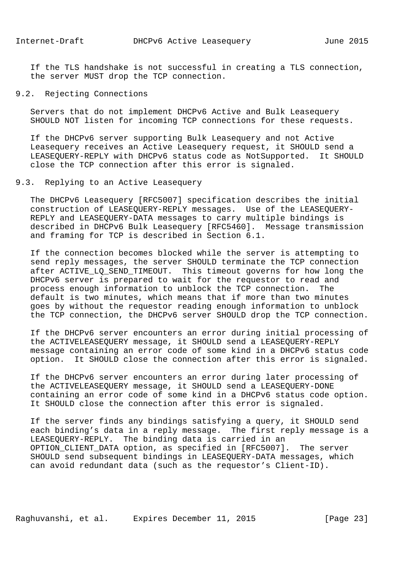If the TLS handshake is not successful in creating a TLS connection, the server MUST drop the TCP connection.

9.2. Rejecting Connections

 Servers that do not implement DHCPv6 Active and Bulk Leasequery SHOULD NOT listen for incoming TCP connections for these requests.

 If the DHCPv6 server supporting Bulk Leasequery and not Active Leasequery receives an Active Leasequery request, it SHOULD send a LEASEQUERY-REPLY with DHCPv6 status code as NotSupported. It SHOULD close the TCP connection after this error is signaled.

# 9.3. Replying to an Active Leasequery

 The DHCPv6 Leasequery [RFC5007] specification describes the initial construction of LEASEQUERY-REPLY messages. Use of the LEASEQUERY- REPLY and LEASEQUERY-DATA messages to carry multiple bindings is described in DHCPv6 Bulk Leasequery [RFC5460]. Message transmission and framing for TCP is described in Section 6.1.

 If the connection becomes blocked while the server is attempting to send reply messages, the server SHOULD terminate the TCP connection after ACTIVE\_LQ\_SEND\_TIMEOUT. This timeout governs for how long the DHCPv6 server is prepared to wait for the requestor to read and process enough information to unblock the TCP connection. The default is two minutes, which means that if more than two minutes goes by without the requestor reading enough information to unblock the TCP connection, the DHCPv6 server SHOULD drop the TCP connection.

 If the DHCPv6 server encounters an error during initial processing of the ACTIVELEASEQUERY message, it SHOULD send a LEASEQUERY-REPLY message containing an error code of some kind in a DHCPv6 status code option. It SHOULD close the connection after this error is signaled.

 If the DHCPv6 server encounters an error during later processing of the ACTIVELEASEQUERY message, it SHOULD send a LEASEQUERY-DONE containing an error code of some kind in a DHCPv6 status code option. It SHOULD close the connection after this error is signaled.

 If the server finds any bindings satisfying a query, it SHOULD send each binding's data in a reply message. The first reply message is a LEASEQUERY-REPLY. The binding data is carried in an OPTION\_CLIENT\_DATA option, as specified in [RFC5007]. The server SHOULD send subsequent bindings in LEASEQUERY-DATA messages, which can avoid redundant data (such as the requestor's Client-ID).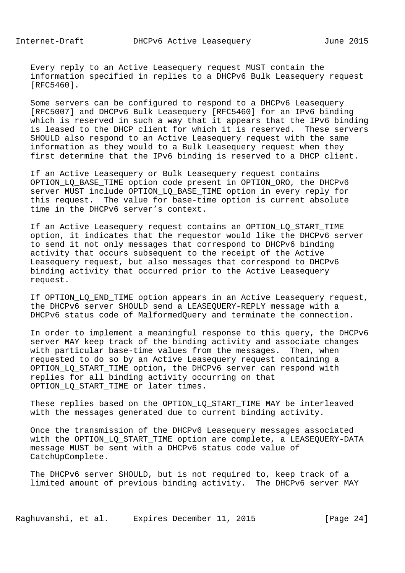Every reply to an Active Leasequery request MUST contain the information specified in replies to a DHCPv6 Bulk Leasequery request [RFC5460].

 Some servers can be configured to respond to a DHCPv6 Leasequery [RFC5007] and DHCPv6 Bulk Leasequery [RFC5460] for an IPv6 binding which is reserved in such a way that it appears that the IPv6 binding is leased to the DHCP client for which it is reserved. These servers SHOULD also respond to an Active Leasequery request with the same information as they would to a Bulk Leasequery request when they first determine that the IPv6 binding is reserved to a DHCP client.

 If an Active Leasequery or Bulk Leasequery request contains OPTION LO BASE TIME option code present in OPTION ORO, the DHCPv6 server MUST include OPTION\_LQ\_BASE\_TIME option in every reply for this request. The value for base-time option is current absolute time in the DHCPv6 server's context.

 If an Active Leasequery request contains an OPTION\_LQ\_START\_TIME option, it indicates that the requestor would like the DHCPv6 server to send it not only messages that correspond to DHCPv6 binding activity that occurs subsequent to the receipt of the Active Leasequery request, but also messages that correspond to DHCPv6 binding activity that occurred prior to the Active Leasequery request.

 If OPTION\_LQ\_END\_TIME option appears in an Active Leasequery request, the DHCPv6 server SHOULD send a LEASEQUERY-REPLY message with a DHCPv6 status code of MalformedQuery and terminate the connection.

 In order to implement a meaningful response to this query, the DHCPv6 server MAY keep track of the binding activity and associate changes with particular base-time values from the messages. Then, when requested to do so by an Active Leasequery request containing a OPTION\_LQ\_START\_TIME option, the DHCPv6 server can respond with replies for all binding activity occurring on that OPTION\_LQ\_START\_TIME or later times.

 These replies based on the OPTION\_LQ\_START\_TIME MAY be interleaved with the messages generated due to current binding activity.

 Once the transmission of the DHCPv6 Leasequery messages associated with the OPTION\_LQ\_START\_TIME option are complete, a LEASEQUERY-DATA message MUST be sent with a DHCPv6 status code value of CatchUpComplete.

 The DHCPv6 server SHOULD, but is not required to, keep track of a limited amount of previous binding activity. The DHCPv6 server MAY

Raghuvanshi, et al. Expires December 11, 2015 [Page 24]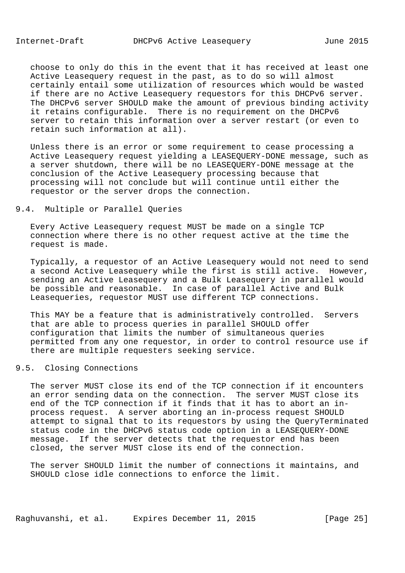choose to only do this in the event that it has received at least one Active Leasequery request in the past, as to do so will almost certainly entail some utilization of resources which would be wasted if there are no Active Leasequery requestors for this DHCPv6 server. The DHCPv6 server SHOULD make the amount of previous binding activity it retains configurable. There is no requirement on the DHCPv6 server to retain this information over a server restart (or even to retain such information at all).

 Unless there is an error or some requirement to cease processing a Active Leasequery request yielding a LEASEQUERY-DONE message, such as a server shutdown, there will be no LEASEQUERY-DONE message at the conclusion of the Active Leasequery processing because that processing will not conclude but will continue until either the requestor or the server drops the connection.

## 9.4. Multiple or Parallel Queries

 Every Active Leasequery request MUST be made on a single TCP connection where there is no other request active at the time the request is made.

 Typically, a requestor of an Active Leasequery would not need to send a second Active Leasequery while the first is still active. However, sending an Active Leasequery and a Bulk Leasequery in parallel would be possible and reasonable. In case of parallel Active and Bulk Leasequeries, requestor MUST use different TCP connections.

 This MAY be a feature that is administratively controlled. Servers that are able to process queries in parallel SHOULD offer configuration that limits the number of simultaneous queries permitted from any one requestor, in order to control resource use if there are multiple requesters seeking service.

#### 9.5. Closing Connections

 The server MUST close its end of the TCP connection if it encounters an error sending data on the connection. The server MUST close its end of the TCP connection if it finds that it has to abort an in process request. A server aborting an in-process request SHOULD attempt to signal that to its requestors by using the QueryTerminated status code in the DHCPv6 status code option in a LEASEQUERY-DONE message. If the server detects that the requestor end has been closed, the server MUST close its end of the connection.

 The server SHOULD limit the number of connections it maintains, and SHOULD close idle connections to enforce the limit.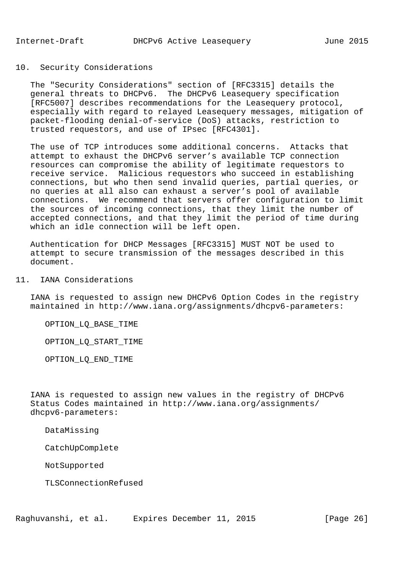## 10. Security Considerations

 The "Security Considerations" section of [RFC3315] details the general threats to DHCPv6. The DHCPv6 Leasequery specification [RFC5007] describes recommendations for the Leasequery protocol, especially with regard to relayed Leasequery messages, mitigation of packet-flooding denial-of-service (DoS) attacks, restriction to trusted requestors, and use of IPsec [RFC4301].

 The use of TCP introduces some additional concerns. Attacks that attempt to exhaust the DHCPv6 server's available TCP connection resources can compromise the ability of legitimate requestors to receive service. Malicious requestors who succeed in establishing connections, but who then send invalid queries, partial queries, or no queries at all also can exhaust a server's pool of available connections. We recommend that servers offer configuration to limit the sources of incoming connections, that they limit the number of accepted connections, and that they limit the period of time during which an idle connection will be left open.

 Authentication for DHCP Messages [RFC3315] MUST NOT be used to attempt to secure transmission of the messages described in this document.

11. IANA Considerations

 IANA is requested to assign new DHCPv6 Option Codes in the registry maintained in http://www.iana.org/assignments/dhcpv6-parameters:

OPTION\_LQ\_BASE\_TIME

OPTION\_LQ\_START\_TIME

OPTION\_LQ\_END\_TIME

 IANA is requested to assign new values in the registry of DHCPv6 Status Codes maintained in http://www.iana.org/assignments/ dhcpv6-parameters:

DataMissing

CatchUpComplete

NotSupported

TLSConnectionRefused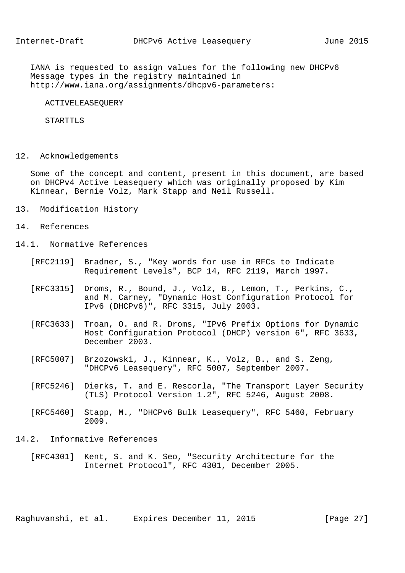IANA is requested to assign values for the following new DHCPv6 Message types in the registry maintained in http://www.iana.org/assignments/dhcpv6-parameters:

ACTIVELEASEQUERY

STARTTLS

12. Acknowledgements

 Some of the concept and content, present in this document, are based on DHCPv4 Active Leasequery which was originally proposed by Kim Kinnear, Bernie Volz, Mark Stapp and Neil Russell.

- 13. Modification History
- 14. References
- 14.1. Normative References
	- [RFC2119] Bradner, S., "Key words for use in RFCs to Indicate Requirement Levels", BCP 14, RFC 2119, March 1997.
	- [RFC3315] Droms, R., Bound, J., Volz, B., Lemon, T., Perkins, C., and M. Carney, "Dynamic Host Configuration Protocol for IPv6 (DHCPv6)", RFC 3315, July 2003.
	- [RFC3633] Troan, O. and R. Droms, "IPv6 Prefix Options for Dynamic Host Configuration Protocol (DHCP) version 6", RFC 3633, December 2003.
	- [RFC5007] Brzozowski, J., Kinnear, K., Volz, B., and S. Zeng, "DHCPv6 Leasequery", RFC 5007, September 2007.
	- [RFC5246] Dierks, T. and E. Rescorla, "The Transport Layer Security (TLS) Protocol Version 1.2", RFC 5246, August 2008.
	- [RFC5460] Stapp, M., "DHCPv6 Bulk Leasequery", RFC 5460, February 2009.
- 14.2. Informative References
	- [RFC4301] Kent, S. and K. Seo, "Security Architecture for the Internet Protocol", RFC 4301, December 2005.

Raghuvanshi, et al. Expires December 11, 2015 [Page 27]